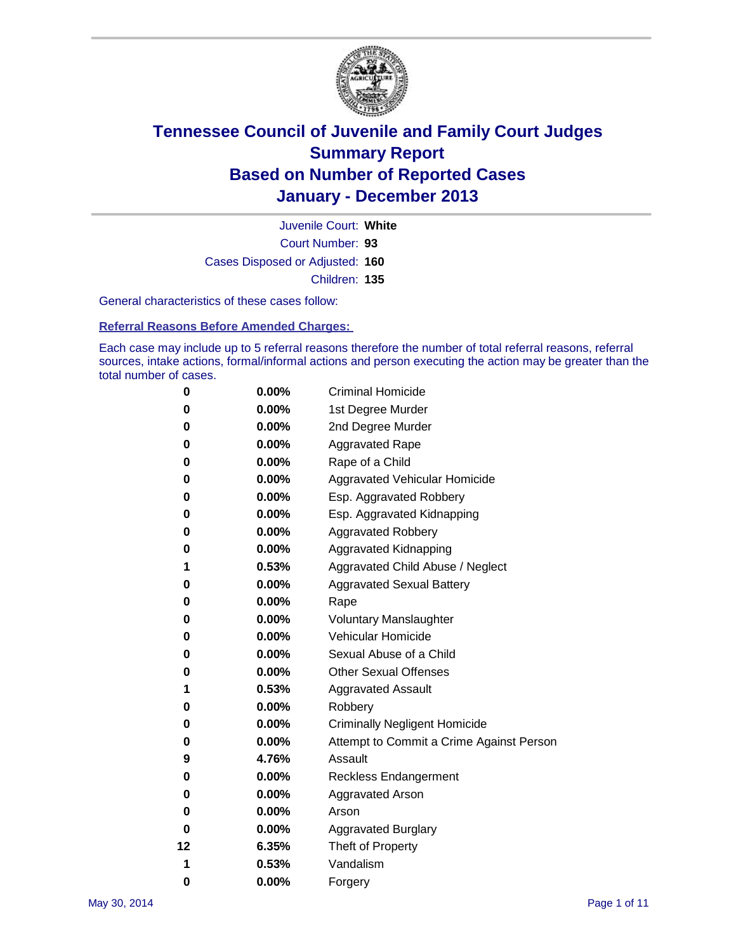

Court Number: **93** Juvenile Court: **White** Cases Disposed or Adjusted: **160** Children: **135**

General characteristics of these cases follow:

**Referral Reasons Before Amended Charges:** 

Each case may include up to 5 referral reasons therefore the number of total referral reasons, referral sources, intake actions, formal/informal actions and person executing the action may be greater than the total number of cases.

| 0  | 0.00%    | <b>Criminal Homicide</b>                 |
|----|----------|------------------------------------------|
| 0  | 0.00%    | 1st Degree Murder                        |
| 0  | 0.00%    | 2nd Degree Murder                        |
| 0  | $0.00\%$ | <b>Aggravated Rape</b>                   |
| 0  | 0.00%    | Rape of a Child                          |
| 0  | 0.00%    | <b>Aggravated Vehicular Homicide</b>     |
| 0  | $0.00\%$ | Esp. Aggravated Robbery                  |
| 0  | 0.00%    | Esp. Aggravated Kidnapping               |
| 0  | 0.00%    | <b>Aggravated Robbery</b>                |
| 0  | 0.00%    | Aggravated Kidnapping                    |
| 1  | 0.53%    | Aggravated Child Abuse / Neglect         |
| 0  | 0.00%    | <b>Aggravated Sexual Battery</b>         |
| 0  | 0.00%    | Rape                                     |
| 0  | 0.00%    | <b>Voluntary Manslaughter</b>            |
| 0  | 0.00%    | Vehicular Homicide                       |
| 0  | 0.00%    | Sexual Abuse of a Child                  |
| 0  | 0.00%    | <b>Other Sexual Offenses</b>             |
| 1  | 0.53%    | <b>Aggravated Assault</b>                |
| 0  | 0.00%    | Robbery                                  |
| 0  | 0.00%    | <b>Criminally Negligent Homicide</b>     |
| 0  | 0.00%    | Attempt to Commit a Crime Against Person |
| 9  | 4.76%    | Assault                                  |
| 0  | 0.00%    | <b>Reckless Endangerment</b>             |
| 0  | 0.00%    | <b>Aggravated Arson</b>                  |
| 0  | 0.00%    | Arson                                    |
| 0  | 0.00%    | <b>Aggravated Burglary</b>               |
| 12 | 6.35%    | Theft of Property                        |
| 1  | 0.53%    | Vandalism                                |
| 0  | 0.00%    | Forgery                                  |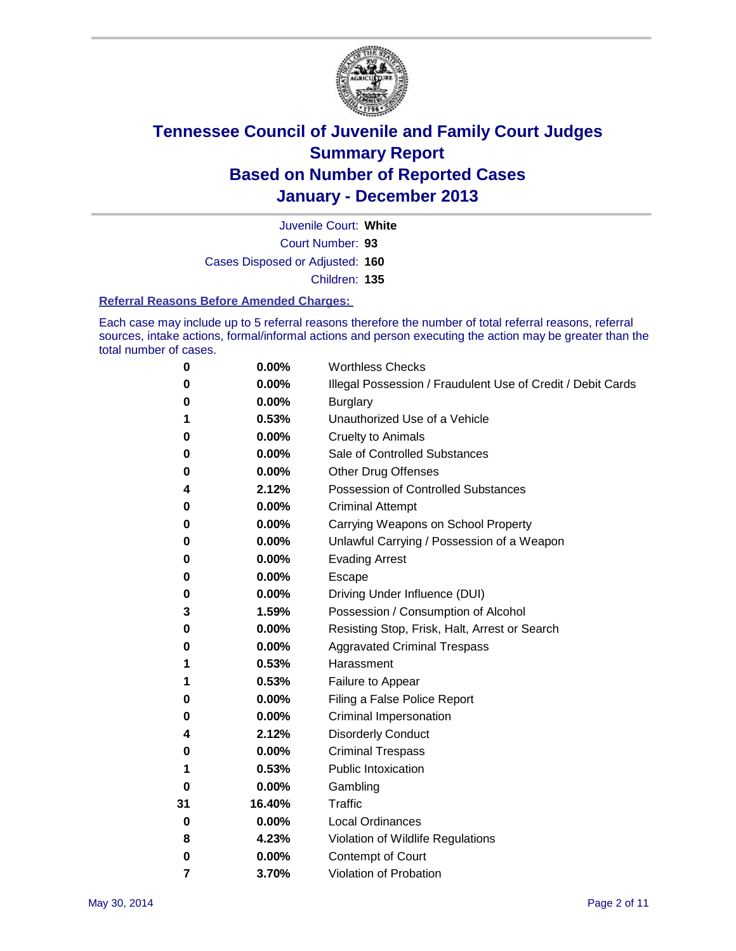

Court Number: **93** Juvenile Court: **White** Cases Disposed or Adjusted: **160** Children: **135**

#### **Referral Reasons Before Amended Charges:**

Each case may include up to 5 referral reasons therefore the number of total referral reasons, referral sources, intake actions, formal/informal actions and person executing the action may be greater than the total number of cases.

| 0              | 0.00%  | <b>Worthless Checks</b>                                     |
|----------------|--------|-------------------------------------------------------------|
| 0              | 0.00%  | Illegal Possession / Fraudulent Use of Credit / Debit Cards |
| 0              | 0.00%  | <b>Burglary</b>                                             |
| 1              | 0.53%  | Unauthorized Use of a Vehicle                               |
| 0              | 0.00%  | Cruelty to Animals                                          |
| 0              | 0.00%  | Sale of Controlled Substances                               |
| 0              | 0.00%  | <b>Other Drug Offenses</b>                                  |
| 4              | 2.12%  | Possession of Controlled Substances                         |
| 0              | 0.00%  | <b>Criminal Attempt</b>                                     |
| 0              | 0.00%  | Carrying Weapons on School Property                         |
| 0              | 0.00%  | Unlawful Carrying / Possession of a Weapon                  |
| 0              | 0.00%  | <b>Evading Arrest</b>                                       |
| 0              | 0.00%  | Escape                                                      |
| 0              | 0.00%  | Driving Under Influence (DUI)                               |
| 3              | 1.59%  | Possession / Consumption of Alcohol                         |
| 0              | 0.00%  | Resisting Stop, Frisk, Halt, Arrest or Search               |
| 0              | 0.00%  | <b>Aggravated Criminal Trespass</b>                         |
| 1              | 0.53%  | Harassment                                                  |
| 1              | 0.53%  | Failure to Appear                                           |
| 0              | 0.00%  | Filing a False Police Report                                |
| 0              | 0.00%  | Criminal Impersonation                                      |
| 4              | 2.12%  | <b>Disorderly Conduct</b>                                   |
| 0              | 0.00%  | <b>Criminal Trespass</b>                                    |
| 1              | 0.53%  | <b>Public Intoxication</b>                                  |
| 0              | 0.00%  | Gambling                                                    |
| 31             | 16.40% | <b>Traffic</b>                                              |
| 0              | 0.00%  | <b>Local Ordinances</b>                                     |
| 8              | 4.23%  | Violation of Wildlife Regulations                           |
| 0              | 0.00%  | Contempt of Court                                           |
| $\overline{7}$ | 3.70%  | Violation of Probation                                      |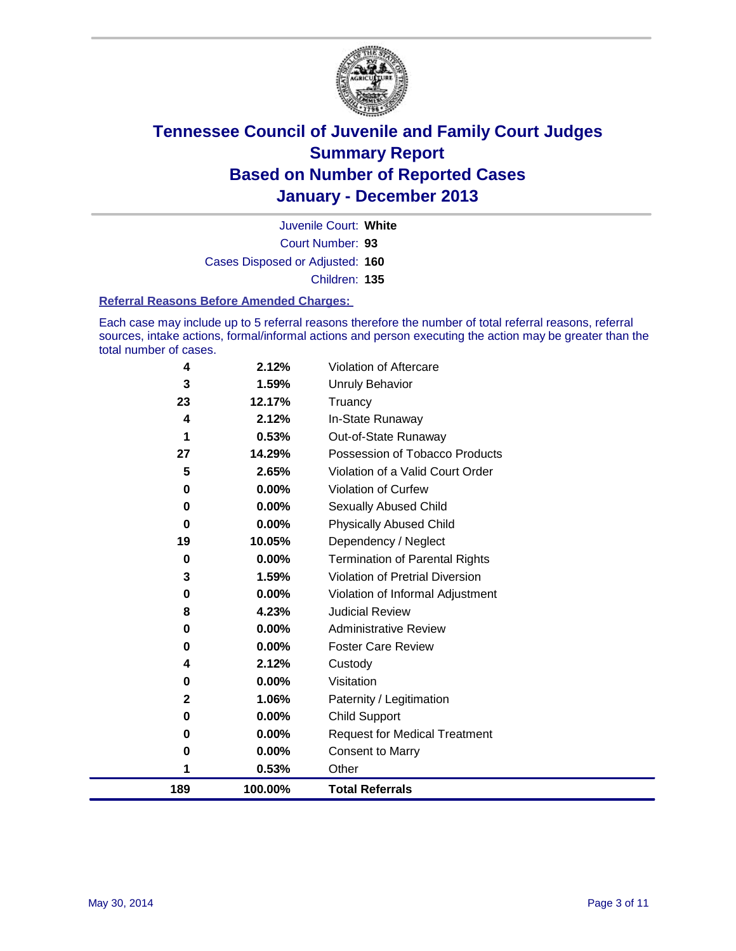

Court Number: **93** Juvenile Court: **White** Cases Disposed or Adjusted: **160** Children: **135**

#### **Referral Reasons Before Amended Charges:**

Each case may include up to 5 referral reasons therefore the number of total referral reasons, referral sources, intake actions, formal/informal actions and person executing the action may be greater than the total number of cases.

| 189          | 100.00%                                      | <b>Total Referrals</b>                                                                             |
|--------------|----------------------------------------------|----------------------------------------------------------------------------------------------------|
| 1            | 0.53%                                        | Other                                                                                              |
| 0            | 0.00%                                        | <b>Consent to Marry</b>                                                                            |
| $\bf{0}$     | 0.00%                                        | <b>Request for Medical Treatment</b>                                                               |
| 0            | 0.00%                                        | <b>Child Support</b>                                                                               |
| $\mathbf{2}$ | 1.06%                                        | Paternity / Legitimation                                                                           |
| 0            | 0.00%                                        | Visitation                                                                                         |
| 4            | 2.12%                                        | Custody                                                                                            |
| 0            | 0.00%                                        | <b>Foster Care Review</b>                                                                          |
| 0            | 0.00%                                        | <b>Administrative Review</b>                                                                       |
| 8            | 4.23%                                        | <b>Judicial Review</b>                                                                             |
| 0            | 0.00%                                        | Violation of Informal Adjustment                                                                   |
| 3            | 1.59%                                        | Violation of Pretrial Diversion                                                                    |
| $\bf{0}$     | 0.00%                                        | <b>Termination of Parental Rights</b>                                                              |
|              |                                              | Dependency / Neglect                                                                               |
| 0            |                                              | <b>Physically Abused Child</b>                                                                     |
| 0            |                                              | <b>Sexually Abused Child</b>                                                                       |
|              |                                              | <b>Violation of Curfew</b>                                                                         |
|              |                                              | Violation of a Valid Court Order                                                                   |
|              |                                              | Possession of Tobacco Products                                                                     |
|              |                                              | Out-of-State Runaway                                                                               |
|              |                                              | Truancy<br>In-State Runaway                                                                        |
|              |                                              | Unruly Behavior                                                                                    |
|              |                                              | Violation of Aftercare                                                                             |
|              | 4<br>3<br>23<br>4<br>1<br>27<br>5<br>0<br>19 | 2.12%<br>1.59%<br>12.17%<br>2.12%<br>0.53%<br>14.29%<br>2.65%<br>0.00%<br>0.00%<br>0.00%<br>10.05% |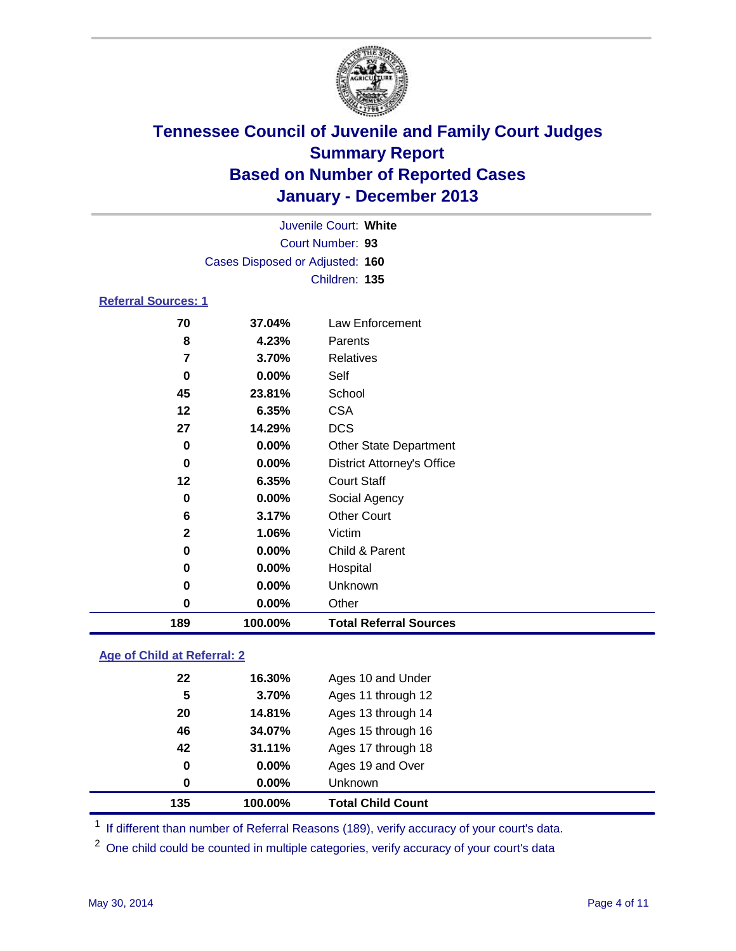

| Juvenile Court: White      |                                 |                                   |  |  |  |  |  |
|----------------------------|---------------------------------|-----------------------------------|--|--|--|--|--|
| Court Number: 93           |                                 |                                   |  |  |  |  |  |
|                            | Cases Disposed or Adjusted: 160 |                                   |  |  |  |  |  |
|                            | Children: 135                   |                                   |  |  |  |  |  |
| <b>Referral Sources: 1</b> |                                 |                                   |  |  |  |  |  |
| 70                         | 37.04%                          | Law Enforcement                   |  |  |  |  |  |
| 8                          | 4.23%                           | Parents                           |  |  |  |  |  |
| $\overline{\mathbf{z}}$    | 3.70%                           | <b>Relatives</b>                  |  |  |  |  |  |
| 0                          | $0.00\%$                        | Self                              |  |  |  |  |  |
| 45                         | 23.81%                          | School                            |  |  |  |  |  |
| 12                         | 6.35%                           | <b>CSA</b>                        |  |  |  |  |  |
| 27                         | 14.29%                          | <b>DCS</b>                        |  |  |  |  |  |
| 0                          | <b>Other State Department</b>   |                                   |  |  |  |  |  |
| 0                          | 0.00%                           | <b>District Attorney's Office</b> |  |  |  |  |  |
| 12                         | 6.35%                           | <b>Court Staff</b>                |  |  |  |  |  |
| 0                          | $0.00\%$                        | Social Agency                     |  |  |  |  |  |
| 6                          | 3.17%                           | <b>Other Court</b>                |  |  |  |  |  |
| $\mathbf{2}$               | 1.06%                           | Victim                            |  |  |  |  |  |
| 0                          | 0.00%                           | Child & Parent                    |  |  |  |  |  |
| 0                          | $0.00\%$                        | Hospital                          |  |  |  |  |  |
| 0                          | 0.00%                           | Unknown                           |  |  |  |  |  |
| 0                          | $0.00\%$                        | Other                             |  |  |  |  |  |

### **Age of Child at Referral: 2**

| 135 | 100.00%  | <b>Total Child Count</b> |
|-----|----------|--------------------------|
| 0   | 0.00%    | <b>Unknown</b>           |
| 0   | $0.00\%$ | Ages 19 and Over         |
| 42  | 31.11%   | Ages 17 through 18       |
| 46  | 34.07%   | Ages 15 through 16       |
| 20  | 14.81%   | Ages 13 through 14       |
| 5   | 3.70%    | Ages 11 through 12       |
| 22  | 16.30%   | Ages 10 and Under        |
|     |          |                          |

<sup>1</sup> If different than number of Referral Reasons (189), verify accuracy of your court's data.

<sup>2</sup> One child could be counted in multiple categories, verify accuracy of your court's data

**100.00% Total Referral Sources**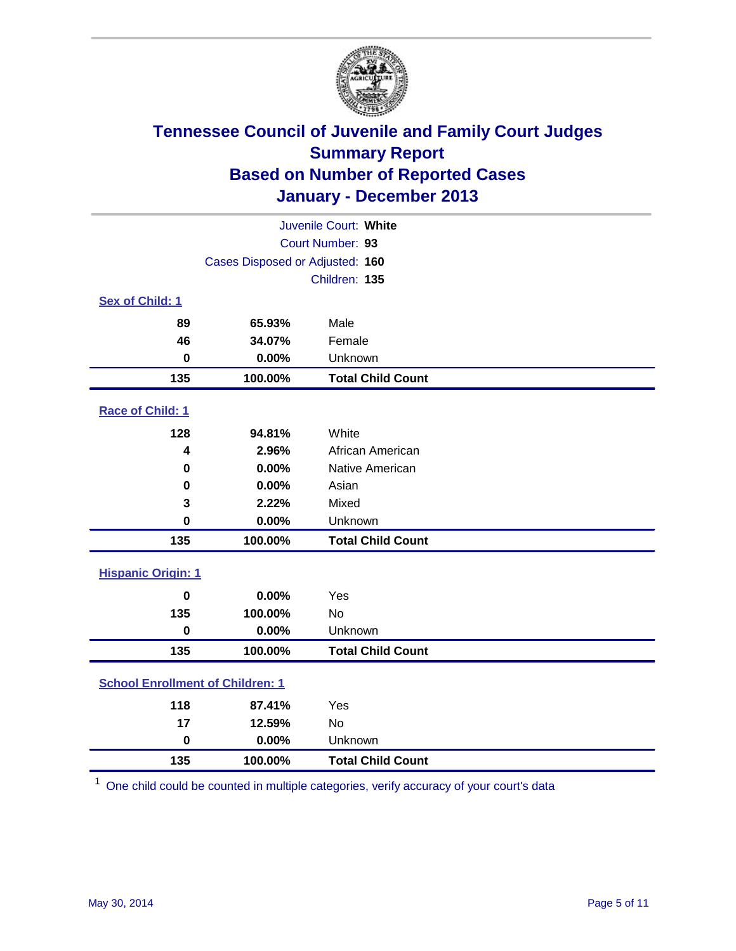

| Juvenile Court: White                   |                                 |                          |  |  |
|-----------------------------------------|---------------------------------|--------------------------|--|--|
|                                         | Court Number: 93                |                          |  |  |
|                                         | Cases Disposed or Adjusted: 160 |                          |  |  |
|                                         |                                 | Children: 135            |  |  |
| Sex of Child: 1                         |                                 |                          |  |  |
| 89                                      | 65.93%                          | Male                     |  |  |
| 46                                      | 34.07%                          | Female                   |  |  |
| $\mathbf 0$                             | 0.00%                           | Unknown                  |  |  |
| 135                                     | 100.00%                         | <b>Total Child Count</b> |  |  |
| Race of Child: 1                        |                                 |                          |  |  |
| 128                                     | 94.81%                          | White                    |  |  |
| 4                                       | 2.96%                           | African American         |  |  |
| 0                                       | 0.00%                           | Native American          |  |  |
| 0                                       | 0.00%                           | Asian                    |  |  |
| 3                                       | 2.22%                           | Mixed                    |  |  |
| 0                                       | 0.00%                           | Unknown                  |  |  |
| 135                                     | 100.00%                         | <b>Total Child Count</b> |  |  |
| <b>Hispanic Origin: 1</b>               |                                 |                          |  |  |
| $\mathbf 0$                             | 0.00%                           | Yes                      |  |  |
| 135                                     | 100.00%                         | No                       |  |  |
| $\pmb{0}$                               | 0.00%                           | Unknown                  |  |  |
| 135                                     | 100.00%                         | <b>Total Child Count</b> |  |  |
| <b>School Enrollment of Children: 1</b> |                                 |                          |  |  |
| 118                                     | 87.41%                          | Yes                      |  |  |
| 17                                      | 12.59%                          | No                       |  |  |
| $\mathbf 0$                             | 0.00%                           | Unknown                  |  |  |
| 135                                     | 100.00%                         | <b>Total Child Count</b> |  |  |

One child could be counted in multiple categories, verify accuracy of your court's data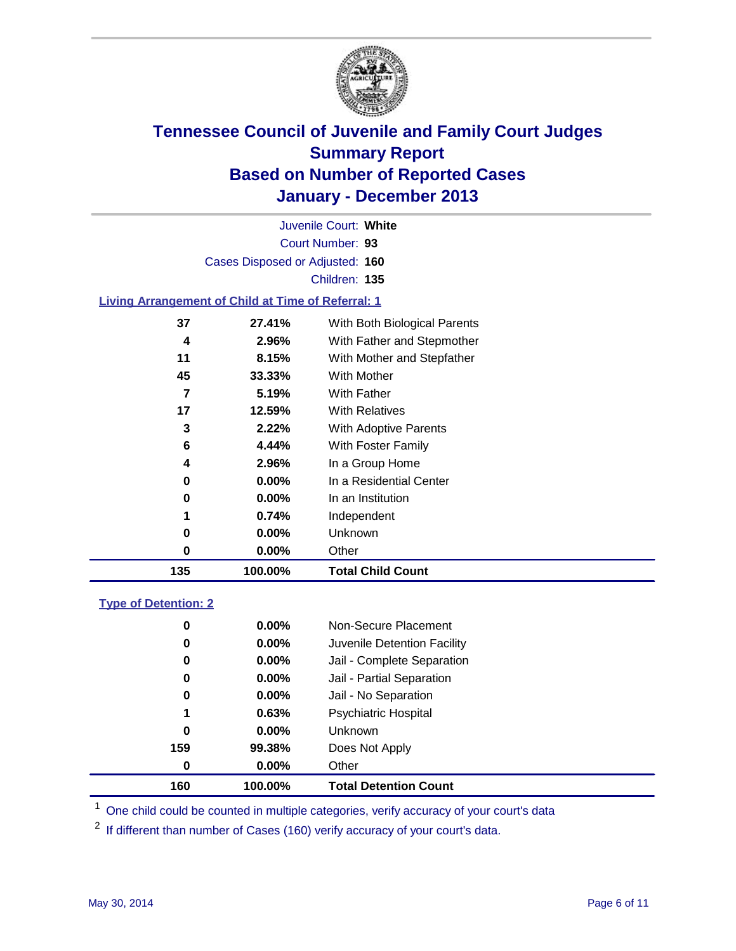

Court Number: **93** Juvenile Court: **White** Cases Disposed or Adjusted: **160** Children: **135**

### **Living Arrangement of Child at Time of Referral: 1**

| $0.00\%$<br>0.00%<br>0.74%<br>$0.00\%$<br>0.00% | In a Residential Center<br>In an Institution<br>Independent<br>Unknown<br>Other |  |
|-------------------------------------------------|---------------------------------------------------------------------------------|--|
|                                                 |                                                                                 |  |
|                                                 |                                                                                 |  |
|                                                 |                                                                                 |  |
|                                                 |                                                                                 |  |
|                                                 |                                                                                 |  |
| 2.96%<br>4                                      | In a Group Home                                                                 |  |
| 6<br>4.44%                                      | With Foster Family                                                              |  |
| 2.22%                                           | With Adoptive Parents                                                           |  |
| 17<br>12.59%                                    | <b>With Relatives</b>                                                           |  |
| 5.19%                                           | With Father                                                                     |  |
| 45<br>33.33%                                    | With Mother                                                                     |  |
| 8.15%                                           | With Mother and Stepfather                                                      |  |
| 2.96%                                           | With Father and Stepmother                                                      |  |
| 37<br>27.41%                                    | With Both Biological Parents                                                    |  |
|                                                 |                                                                                 |  |

### **Type of Detention: 2**

| 160 | 100.00%  | <b>Total Detention Count</b> |
|-----|----------|------------------------------|
| 0   | $0.00\%$ | Other                        |
| 159 | 99.38%   | Does Not Apply               |
| 0   | $0.00\%$ | <b>Unknown</b>               |
| 1   | 0.63%    | <b>Psychiatric Hospital</b>  |
| 0   | 0.00%    | Jail - No Separation         |
| 0   | $0.00\%$ | Jail - Partial Separation    |
| 0   | 0.00%    | Jail - Complete Separation   |
| 0   | $0.00\%$ | Juvenile Detention Facility  |
| 0   | 0.00%    | Non-Secure Placement         |
|     |          |                              |

<sup>1</sup> One child could be counted in multiple categories, verify accuracy of your court's data

<sup>2</sup> If different than number of Cases (160) verify accuracy of your court's data.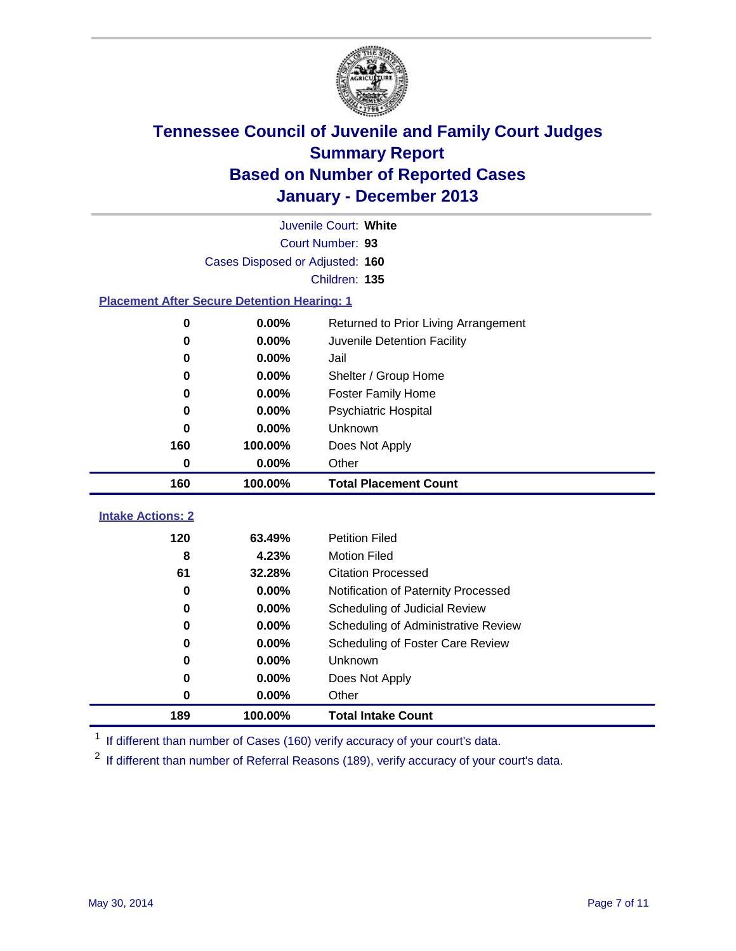

|                                                    | Juvenile Court: White           |                                      |  |  |  |  |  |
|----------------------------------------------------|---------------------------------|--------------------------------------|--|--|--|--|--|
|                                                    | Court Number: 93                |                                      |  |  |  |  |  |
|                                                    | Cases Disposed or Adjusted: 160 |                                      |  |  |  |  |  |
|                                                    | Children: 135                   |                                      |  |  |  |  |  |
| <b>Placement After Secure Detention Hearing: 1</b> |                                 |                                      |  |  |  |  |  |
| $\bf{0}$                                           | 0.00%                           | Returned to Prior Living Arrangement |  |  |  |  |  |
| 0                                                  | $0.00\%$                        | Juvenile Detention Facility          |  |  |  |  |  |
| 0                                                  | 0.00%                           | Jail                                 |  |  |  |  |  |
| 0                                                  | 0.00%                           | Shelter / Group Home                 |  |  |  |  |  |
| 0                                                  | 0.00%                           | Foster Family Home                   |  |  |  |  |  |
| 0                                                  | 0.00%                           | Psychiatric Hospital                 |  |  |  |  |  |
| 0                                                  | 0.00%                           | Unknown                              |  |  |  |  |  |
| 160                                                | 100.00%                         | Does Not Apply                       |  |  |  |  |  |
| 0                                                  | 0.00%                           | Other                                |  |  |  |  |  |
| 160                                                | 100.00%                         | <b>Total Placement Count</b>         |  |  |  |  |  |
|                                                    |                                 |                                      |  |  |  |  |  |
| <b>Intake Actions: 2</b>                           |                                 |                                      |  |  |  |  |  |
| 120                                                | 63.49%                          | <b>Petition Filed</b>                |  |  |  |  |  |
| 8                                                  | 4.23%                           | <b>Motion Filed</b>                  |  |  |  |  |  |
| 61                                                 | 32.28%                          | <b>Citation Processed</b>            |  |  |  |  |  |
| 0                                                  | $0.00\%$                        | Notification of Paternity Processed  |  |  |  |  |  |
| 0                                                  | 0.00%                           | Scheduling of Judicial Review        |  |  |  |  |  |
| 0                                                  | 0.00%                           | Scheduling of Administrative Review  |  |  |  |  |  |
| 0                                                  | 0.00%                           | Scheduling of Foster Care Review     |  |  |  |  |  |
| 0                                                  | 0.00%                           | Unknown                              |  |  |  |  |  |
| 0                                                  | 0.00%                           | Does Not Apply                       |  |  |  |  |  |
| 0                                                  | 0.00%                           | Other                                |  |  |  |  |  |
| 189                                                | 100.00%                         | <b>Total Intake Count</b>            |  |  |  |  |  |

<sup>1</sup> If different than number of Cases (160) verify accuracy of your court's data.

<sup>2</sup> If different than number of Referral Reasons (189), verify accuracy of your court's data.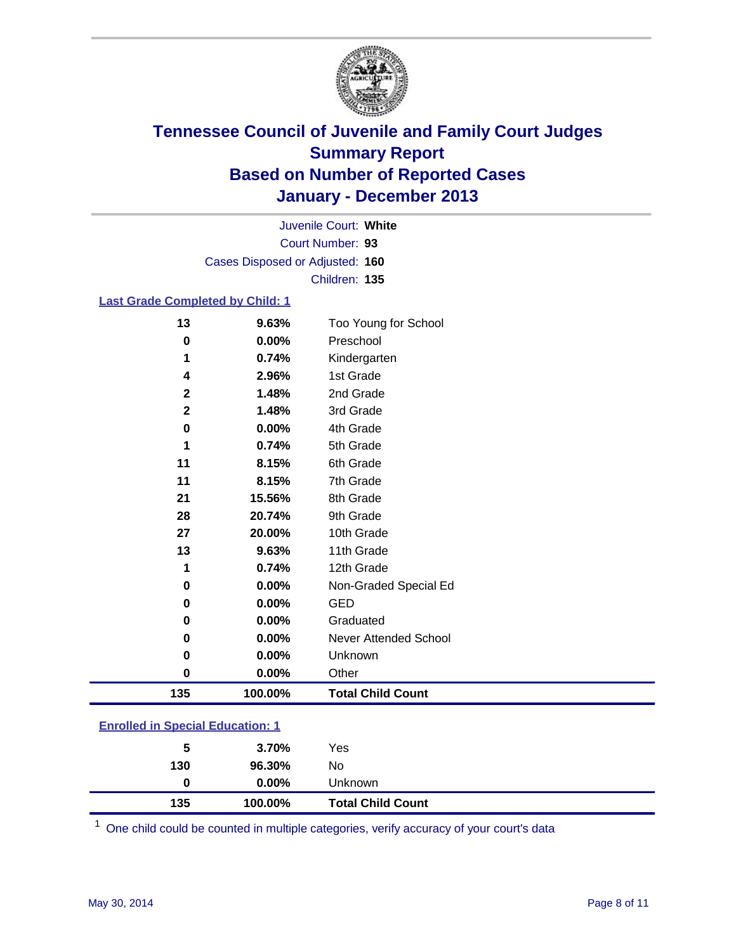

Court Number: **93** Juvenile Court: **White** Cases Disposed or Adjusted: **160** Children: **135**

### **Last Grade Completed by Child: 1**

| 13           | 9.63%   | Too Young for School         |
|--------------|---------|------------------------------|
| 0            | 0.00%   | Preschool                    |
| 1            | 0.74%   | Kindergarten                 |
| 4            | 2.96%   | 1st Grade                    |
| $\mathbf{2}$ | 1.48%   | 2nd Grade                    |
| $\mathbf 2$  | 1.48%   | 3rd Grade                    |
| 0            | 0.00%   | 4th Grade                    |
| 1            | 0.74%   | 5th Grade                    |
| 11           | 8.15%   | 6th Grade                    |
| 11           | 8.15%   | 7th Grade                    |
| 21           | 15.56%  | 8th Grade                    |
| 28           | 20.74%  | 9th Grade                    |
| 27           | 20.00%  | 10th Grade                   |
| 13           | 9.63%   | 11th Grade                   |
| 1            | 0.74%   | 12th Grade                   |
| 0            | 0.00%   | Non-Graded Special Ed        |
| 0            | 0.00%   | <b>GED</b>                   |
| 0            | 0.00%   | Graduated                    |
| 0            | 0.00%   | <b>Never Attended School</b> |
| 0            | 0.00%   | Unknown                      |
| 0            | 0.00%   | Other                        |
| 135          | 100.00% | <b>Total Child Count</b>     |

| <b>Enrolled in Special Education: 1</b> |          |         |  |  |
|-----------------------------------------|----------|---------|--|--|
| 5                                       | 3.70%    | Yes     |  |  |
| 130                                     | 96.30%   | N٥      |  |  |
|                                         | $0.00\%$ | Unknown |  |  |

One child could be counted in multiple categories, verify accuracy of your court's data

**100.00% Total Child Count**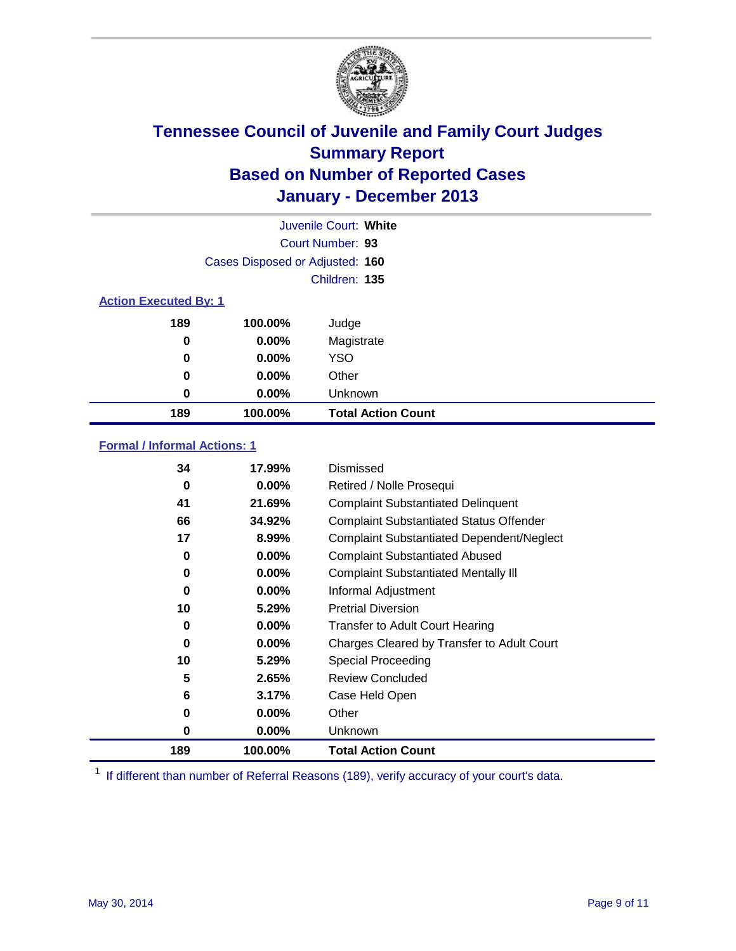

| Juvenile Court: White        |                                 |                           |  |  |  |
|------------------------------|---------------------------------|---------------------------|--|--|--|
|                              | Court Number: 93                |                           |  |  |  |
|                              | Cases Disposed or Adjusted: 160 |                           |  |  |  |
|                              | Children: 135                   |                           |  |  |  |
| <b>Action Executed By: 1</b> |                                 |                           |  |  |  |
| 189                          | 100.00%                         | Judge                     |  |  |  |
| 0                            | $0.00\%$                        | Magistrate                |  |  |  |
| $\bf{0}$                     | $0.00\%$                        | <b>YSO</b>                |  |  |  |
| 0                            | $0.00\%$                        | Other                     |  |  |  |
| 0                            | $0.00\%$                        | Unknown                   |  |  |  |
| 189                          | 100.00%                         | <b>Total Action Count</b> |  |  |  |

### **Formal / Informal Actions: 1**

| 34  | 17.99%   | Dismissed                                        |
|-----|----------|--------------------------------------------------|
| 0   | $0.00\%$ | Retired / Nolle Prosequi                         |
| 41  | 21.69%   | <b>Complaint Substantiated Delinquent</b>        |
| 66  | 34.92%   | <b>Complaint Substantiated Status Offender</b>   |
| 17  | 8.99%    | <b>Complaint Substantiated Dependent/Neglect</b> |
| 0   | 0.00%    | <b>Complaint Substantiated Abused</b>            |
| 0   | $0.00\%$ | <b>Complaint Substantiated Mentally III</b>      |
| 0   | $0.00\%$ | Informal Adjustment                              |
| 10  | 5.29%    | <b>Pretrial Diversion</b>                        |
| 0   | 0.00%    | <b>Transfer to Adult Court Hearing</b>           |
| 0   | $0.00\%$ | Charges Cleared by Transfer to Adult Court       |
| 10  | 5.29%    | Special Proceeding                               |
| 5   | 2.65%    | <b>Review Concluded</b>                          |
| 6   | 3.17%    | Case Held Open                                   |
| 0   | $0.00\%$ | Other                                            |
| 0   | $0.00\%$ | Unknown                                          |
| 189 | 100.00%  | <b>Total Action Count</b>                        |

<sup>1</sup> If different than number of Referral Reasons (189), verify accuracy of your court's data.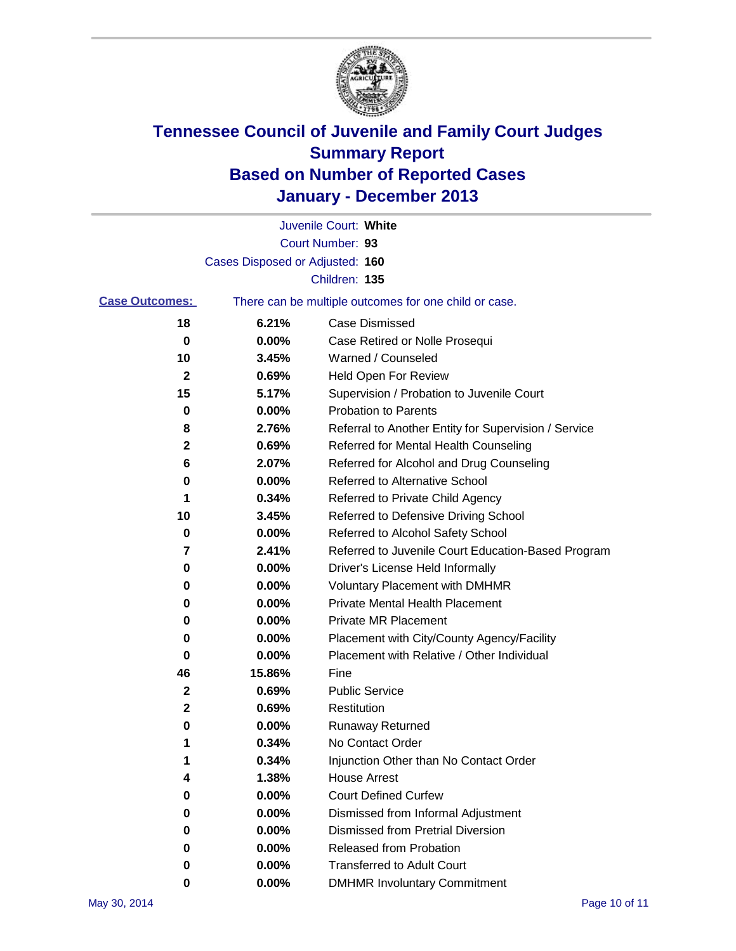

|                       |                                 | Juvenile Court: White                                 |
|-----------------------|---------------------------------|-------------------------------------------------------|
|                       |                                 | Court Number: 93                                      |
|                       | Cases Disposed or Adjusted: 160 |                                                       |
|                       |                                 | Children: 135                                         |
| <b>Case Outcomes:</b> |                                 | There can be multiple outcomes for one child or case. |
| 18                    | 6.21%                           | Case Dismissed                                        |
| 0                     | 0.00%                           | Case Retired or Nolle Prosequi                        |
| 10                    | 3.45%                           | Warned / Counseled                                    |
| $\mathbf{2}$          | 0.69%                           | Held Open For Review                                  |
| 15                    | 5.17%                           | Supervision / Probation to Juvenile Court             |
| 0                     | 0.00%                           | <b>Probation to Parents</b>                           |
| 8                     | 2.76%                           | Referral to Another Entity for Supervision / Service  |
| 2                     | 0.69%                           | Referred for Mental Health Counseling                 |
| 6                     | 2.07%                           | Referred for Alcohol and Drug Counseling              |
| 0                     | 0.00%                           | Referred to Alternative School                        |
| 1                     | 0.34%                           | Referred to Private Child Agency                      |
| 10                    | 3.45%                           | Referred to Defensive Driving School                  |
| 0                     | 0.00%                           | Referred to Alcohol Safety School                     |
| 7                     | 2.41%                           | Referred to Juvenile Court Education-Based Program    |
| 0                     | 0.00%                           | Driver's License Held Informally                      |
| 0                     | 0.00%                           | <b>Voluntary Placement with DMHMR</b>                 |
| 0                     | 0.00%                           | <b>Private Mental Health Placement</b>                |
| 0                     | 0.00%                           | <b>Private MR Placement</b>                           |
| 0                     | 0.00%                           | Placement with City/County Agency/Facility            |
| 0                     | 0.00%                           | Placement with Relative / Other Individual            |
| 46                    | 15.86%                          | Fine                                                  |
| 2                     | 0.69%                           | <b>Public Service</b>                                 |
| 2                     | 0.69%                           | Restitution                                           |
| 0                     | 0.00%                           | <b>Runaway Returned</b>                               |
| 1                     | 0.34%                           | No Contact Order                                      |
| 1                     | 0.34%                           | Injunction Other than No Contact Order                |
| 4                     | 1.38%                           | <b>House Arrest</b>                                   |
| 0                     | 0.00%                           | <b>Court Defined Curfew</b>                           |
| 0                     | 0.00%                           | Dismissed from Informal Adjustment                    |
| 0                     | 0.00%                           | <b>Dismissed from Pretrial Diversion</b>              |
| 0                     | 0.00%                           | Released from Probation                               |
| 0                     | 0.00%                           | <b>Transferred to Adult Court</b>                     |
| 0                     | $0.00\%$                        | <b>DMHMR Involuntary Commitment</b>                   |